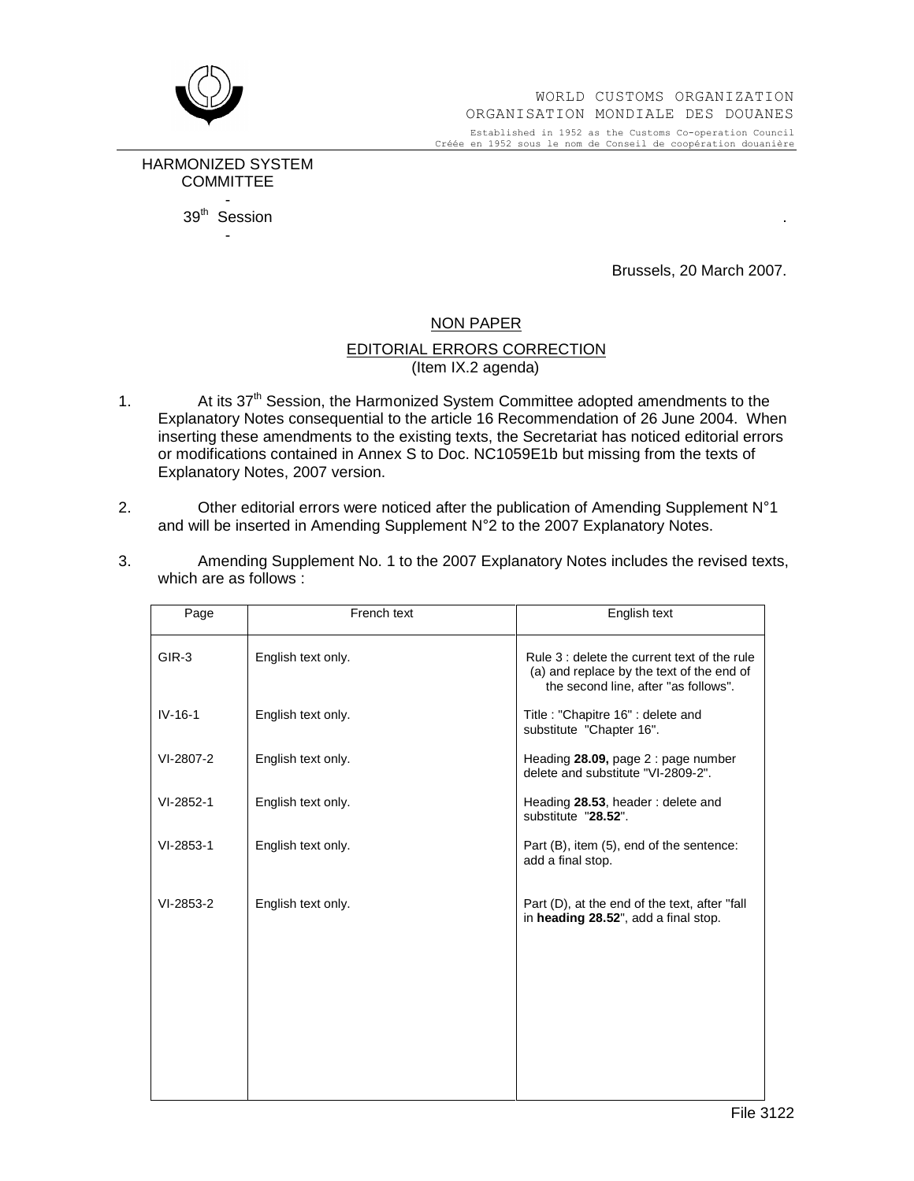

Established in 1952 as the Customs Co-operation Council Créée en 1952 sous le nom de Conseil de coopération douanière

HARMONIZED SYSTEM **COMMITTEE** -  $39<sup>th</sup>$  Session . -

Brussels, 20 March 2007.

## NON PAPER

## EDITORIAL ERRORS CORRECTION (Item IX.2 agenda)

- 1. At its 37<sup>th</sup> Session, the Harmonized System Committee adopted amendments to the Explanatory Notes consequential to the article 16 Recommendation of 26 June 2004. When inserting these amendments to the existing texts, the Secretariat has noticed editorial errors or modifications contained in Annex S to Doc. NC1059E1b but missing from the texts of Explanatory Notes, 2007 version. 2. Explanatory Notes, 2007 version.<br>
2. Other editorial errors were noticed after the publication of Amending Supplement N°1
- enpressively every every tend to the inserted in Amending Supplement Other editorial errors were noticed after the publication of Amending Supplement and will be inserted in Amending Supplement N°2 to the 2007 Explanatory
- 3. Amending Supplement No. 1 to the 2007 Explanatory Notes includes the revised texts, which are as follows :

| Page        | French text        | English text                                                                                                                      |
|-------------|--------------------|-----------------------------------------------------------------------------------------------------------------------------------|
| $GIR-3$     | English text only. | Rule 3 : delete the current text of the rule<br>(a) and replace by the text of the end of<br>the second line, after "as follows". |
| $IV-16-1$   | English text only. | Title: "Chapitre 16" : delete and<br>substitute "Chapter 16".                                                                     |
| VI-2807-2   | English text only. | Heading 28.09, page 2 : page number<br>delete and substitute "VI-2809-2".                                                         |
| VI-2852-1   | English text only. | Heading 28.53, header: delete and<br>substitute "28.52".                                                                          |
| $VI-2853-1$ | English text only. | Part (B), item (5), end of the sentence:<br>add a final stop.                                                                     |
| VI-2853-2   | English text only. | Part (D), at the end of the text, after "fall"<br>in heading 28.52", add a final stop.                                            |
|             |                    |                                                                                                                                   |
|             |                    |                                                                                                                                   |
|             |                    |                                                                                                                                   |
|             |                    |                                                                                                                                   |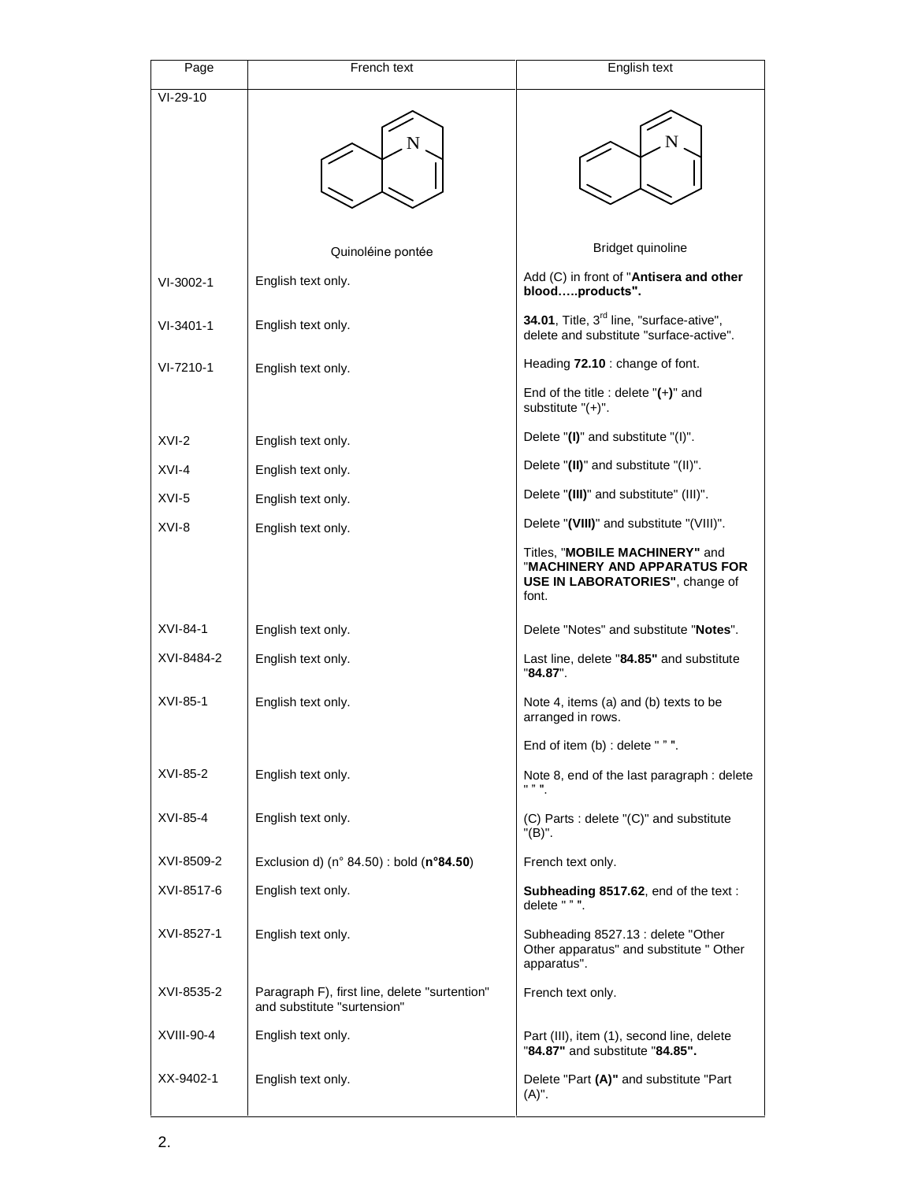| Page            | French text                                                                  | English text                                                                                               |
|-----------------|------------------------------------------------------------------------------|------------------------------------------------------------------------------------------------------------|
| $VI-29-10$      |                                                                              |                                                                                                            |
|                 |                                                                              |                                                                                                            |
|                 | Quinoléine pontée                                                            | Bridget quinoline                                                                                          |
| $VI-3002-1$     | English text only.                                                           | Add (C) in front of "Antisera and other<br>bloodproducts".                                                 |
| $VI - 3401 - 1$ | English text only.                                                           | 34.01, Title, 3 <sup>rd</sup> line, "surface-ative",<br>delete and substitute "surface-active".            |
| VI-7210-1       | English text only.                                                           | Heading 72.10 : change of font.                                                                            |
|                 |                                                                              | End of the title : delete $"(+)"$ and<br>substitute $"(+)"$ .                                              |
| $XVI-2$         | English text only.                                                           | Delete "(I)" and substitute "(I)".                                                                         |
| XVI-4           | English text only.                                                           | Delete "(II)" and substitute "(II)".                                                                       |
| $XVI-5$         | English text only.                                                           | Delete "(III)" and substitute" (III)".                                                                     |
| XVI-8           | English text only.                                                           | Delete "(VIII)" and substitute "(VIII)".                                                                   |
|                 |                                                                              | Titles, "MOBILE MACHINERY" and<br>"MACHINERY AND APPARATUS FOR<br>USE IN LABORATORIES", change of<br>font. |
| XVI-84-1        | English text only.                                                           | Delete "Notes" and substitute "Notes".                                                                     |
| XVI-8484-2      | English text only.                                                           | Last line, delete "84.85" and substitute<br>"84.87".                                                       |
| XVI-85-1        | English text only.                                                           | Note 4, items (a) and (b) texts to be<br>arranged in rows.                                                 |
|                 |                                                                              | End of item (b) : delete " " ".                                                                            |
| XVI-85-2        | English text only.                                                           | Note 8, end of the last paragraph : delete<br>11 V H                                                       |
| XVI-85-4        | English text only.                                                           | (C) Parts : delete "(C)" and substitute<br>"(B)".                                                          |
| XVI-8509-2      | Exclusion d) (n° 84.50) : bold (n°84.50)                                     | French text only.                                                                                          |
| XVI-8517-6      | English text only.                                                           | Subheading 8517.62, end of the text:<br>delete " " ".                                                      |
| XVI-8527-1      | English text only.                                                           | Subheading 8527.13 : delete "Other<br>Other apparatus" and substitute " Other<br>apparatus".               |
| XVI-8535-2      | Paragraph F), first line, delete "surtention"<br>and substitute "surtension" | French text only.                                                                                          |
| XVIII-90-4      | English text only.                                                           | Part (III), item (1), second line, delete<br>"84.87" and substitute "84.85".                               |
| XX-9402-1       | English text only.                                                           | Delete "Part (A)" and substitute "Part<br>$(A)^"$ .                                                        |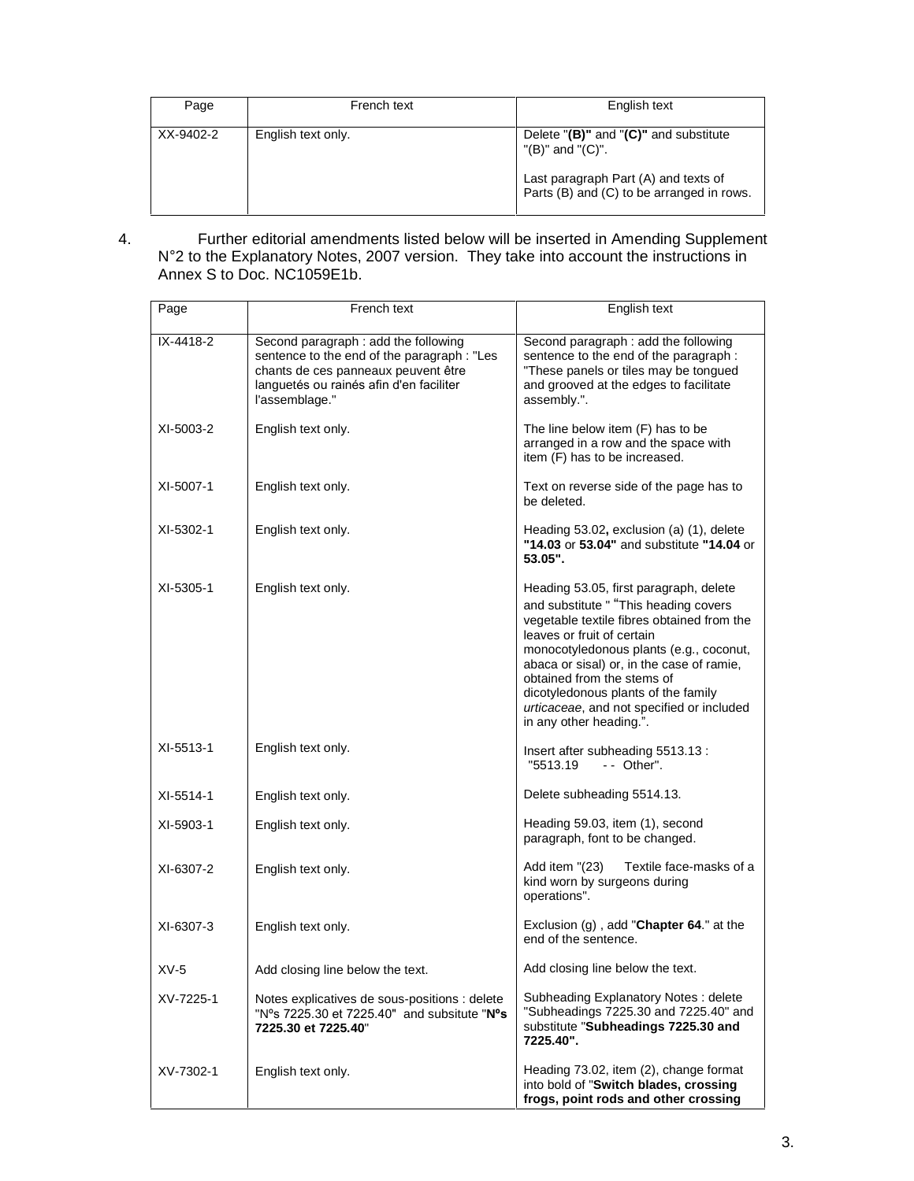| Page      | French text        | English text                                                                      |
|-----------|--------------------|-----------------------------------------------------------------------------------|
| XX-9402-2 | English text only. | Delete $"(B)"$ and $"(C)"$ and substitute<br>$"$ (B)" and $"$ (C)".               |
|           |                    | Last paragraph Part (A) and texts of<br>Parts (B) and (C) to be arranged in rows. |

4. Further editorial amendments listed below will be inserted in Amending Supplement <sup>N</sup>°<sup>2</sup> to the Explanatory Notes, <sup>2007</sup> version. They take into account the instructions in Annex S to Doc. NC1059E1b.

| Page      | French text                                                                                                                                                                             | English text                                                                                                                                                                                                                                                                                                                                                                                     |
|-----------|-----------------------------------------------------------------------------------------------------------------------------------------------------------------------------------------|--------------------------------------------------------------------------------------------------------------------------------------------------------------------------------------------------------------------------------------------------------------------------------------------------------------------------------------------------------------------------------------------------|
| IX-4418-2 | Second paragraph : add the following<br>sentence to the end of the paragraph : "Les<br>chants de ces panneaux peuvent être<br>languetés ou rainés afin d'en faciliter<br>l'assemblage." | Second paragraph : add the following<br>sentence to the end of the paragraph :<br>"These panels or tiles may be tongued<br>and grooved at the edges to facilitate<br>assembly.".                                                                                                                                                                                                                 |
| XI-5003-2 | English text only.                                                                                                                                                                      | The line below item (F) has to be<br>arranged in a row and the space with<br>item (F) has to be increased.                                                                                                                                                                                                                                                                                       |
| XI-5007-1 | English text only.                                                                                                                                                                      | Text on reverse side of the page has to<br>be deleted.                                                                                                                                                                                                                                                                                                                                           |
| XI-5302-1 | English text only.                                                                                                                                                                      | Heading 53.02, exclusion (a) (1), delete<br>"14.03 or 53.04" and substitute "14.04 or<br>$53.05$ ".                                                                                                                                                                                                                                                                                              |
| XI-5305-1 | English text only.                                                                                                                                                                      | Heading 53.05, first paragraph, delete<br>and substitute " "This heading covers<br>vegetable textile fibres obtained from the<br>leaves or fruit of certain<br>monocotyledonous plants (e.g., coconut,<br>abaca or sisal) or, in the case of ramie,<br>obtained from the stems of<br>dicotyledonous plants of the family<br>urticaceae, and not specified or included<br>in any other heading.". |
| XI-5513-1 | English text only.                                                                                                                                                                      | Insert after subheading 5513.13 :<br>"5513.19<br>$-$ Other".                                                                                                                                                                                                                                                                                                                                     |
| XI-5514-1 | English text only.                                                                                                                                                                      | Delete subheading 5514.13.                                                                                                                                                                                                                                                                                                                                                                       |
| XI-5903-1 | English text only.                                                                                                                                                                      | Heading 59.03, item (1), second<br>paragraph, font to be changed.                                                                                                                                                                                                                                                                                                                                |
| XI-6307-2 | English text only.                                                                                                                                                                      | Add item "(23)<br>Textile face-masks of a<br>kind worn by surgeons during<br>operations".                                                                                                                                                                                                                                                                                                        |
| XI-6307-3 | English text only.                                                                                                                                                                      | Exclusion $(g)$ , add "Chapter 64." at the<br>end of the sentence.                                                                                                                                                                                                                                                                                                                               |
| $XV-5$    | Add closing line below the text.                                                                                                                                                        | Add closing line below the text.                                                                                                                                                                                                                                                                                                                                                                 |
| XV-7225-1 | Notes explicatives de sous-positions : delete<br>"N°s 7225.30 et 7225.40" and subsitute "N°s<br>7225.30 et 7225.40"                                                                     | Subheading Explanatory Notes: delete<br>"Subheadings 7225.30 and 7225.40" and<br>substitute "Subheadings 7225.30 and<br>7225.40".                                                                                                                                                                                                                                                                |
| XV-7302-1 | English text only.                                                                                                                                                                      | Heading 73.02, item (2), change format<br>into bold of "Switch blades, crossing<br>frogs, point rods and other crossing                                                                                                                                                                                                                                                                          |